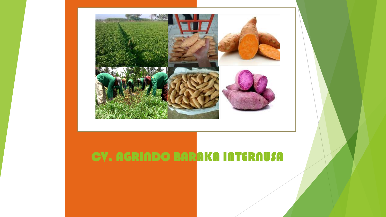

# CV. AGRINDO BARAKA INTERNUSA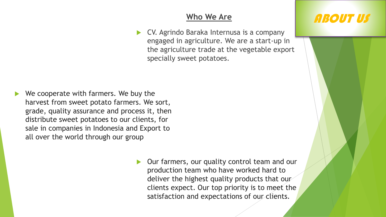CV. Agrindo Baraka Internusa is a company engaged in agriculture. We are a start-up in the agriculture trade at the vegetable export specially sweet potatoes.

- We cooperate with farmers. We buy the harvest from sweet potato farmers. We sort, grade, quality assurance and process it, then distribute sweet potatoes to our clients, for sale in companies in Indonesia and Export to all over the world through our group
	- Our farmers, our quality control team and our production team who have worked hard to deliver the highest quality products that our clients expect. Our top priority is to meet the satisfaction and expectations of our clients.

# **Who We Are Also Life ABOUT US**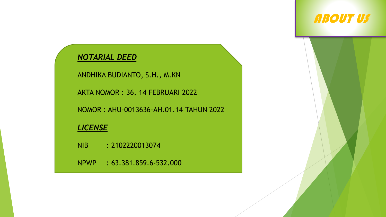#### *NOTARIAL DEED*

ANDHIKA BUDIANTO, S.H., M.KN

AKTA NOMOR : 36, 14 FEBRUARI 2022

NOMOR : AHU-0013636-AH.01.14 TAHUN 2022

#### *LICENSE*

NIB : 2102220013074

NPWP : 63.381.859.6-532.000

# ABOUT US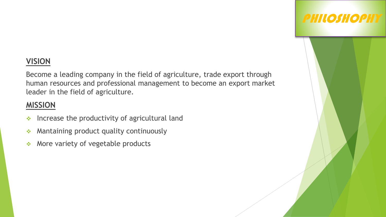### **VISION**

Become a leading company in the field of agriculture, trade export through human resources and professional management to become an export market leader in the field of agriculture.

PHILOSHOPHY

#### **MISSION**

- $\cdot$  Increase the productivity of agricultural land
- **Mantaining product quality continuously**
- $\triangleleft$  More variety of vegetable products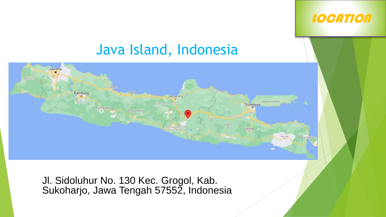## **LOCATION**

# Java Island, Indonesia



Jl. Sidoluhur No. 130 Kec. Grogol, Kab. Sukoharjo, Jawa Tengah 57552, Indonesia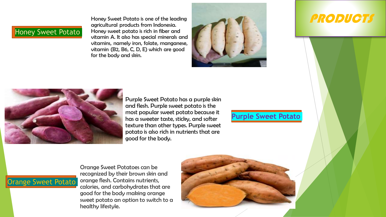#### Honey Sweet Potato

Honey Sweet Potato is one of the leading agricultural products from Indonesia. Honey sweet potato is rich in fiber and vitamin A. It also has special minerals and vitamins, namely iron, folate, manganese, vitamin (B2, B6, C, D, E) which are good for the body and skin.



### PRODUCTS



Purple Sweet Potato has a purple skin and flesh. Purple sweet potato is the most popular sweet potato because it has a sweeter taste, sticky, and softer texture than other types. Purple sweet potato is also rich in nutrients that are good for the body.

#### **Purple Sweet Potato**

### Orange Sweet Potato

Orange Sweet Potatoes can be recognized by their brown skin and orange flesh. Contains nutrients, calories, and carbohydrates that are good for the body making orange sweet potato an option to switch to a healthy lifestyle.

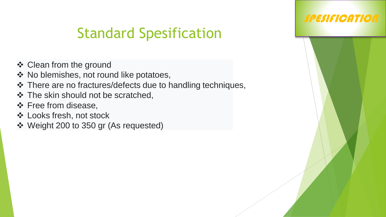# Standard Spesification

- ❖ Clean from the ground
- ❖ No blemishes, not round like potatoes,
- ❖ There are no fractures/defects due to handling techniques,
- ❖ The skin should not be scratched,
- ❖ Free from disease,
- Looks fresh, not stock
- Weight 200 to 350 gr (As requested)

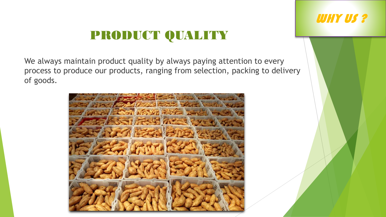# PRODUCT QUALITY

We always maintain product quality by always paying attention to every process to produce our products, ranging from selection, packing to delivery of goods.



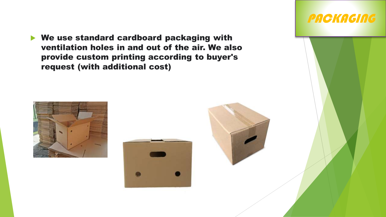We use standard cardboard packaging with ventilation holes in and out of the air. We also provide custom printing according to buyer's request (with additional cost)





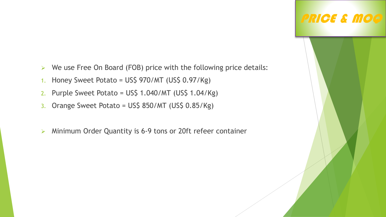- $\triangleright$  We use Free On Board (FOB) price with the following price details:
- 1. Honey Sweet Potato = US\$ 970/MT (US\$ 0.97/Kg)
- 2. Purple Sweet Potato = US\$ 1.040/MT (US\$ 1.04/Kg)
- 3. Orange Sweet Potato = US\$ 850/MT (US\$ 0.85/Kg)
- Minimum Order Quantity is 6-9 tons or 20ft refeer container

# PRICE & MOQ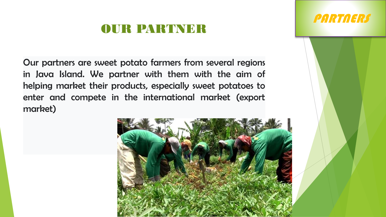# OUR PARTNER

Our partners are sweet potato farmers from several regions in Java Island. We partner with them with the aim of helping market their products, especially sweet potatoes to enter and compete in the international market (export market)



PARTNERS